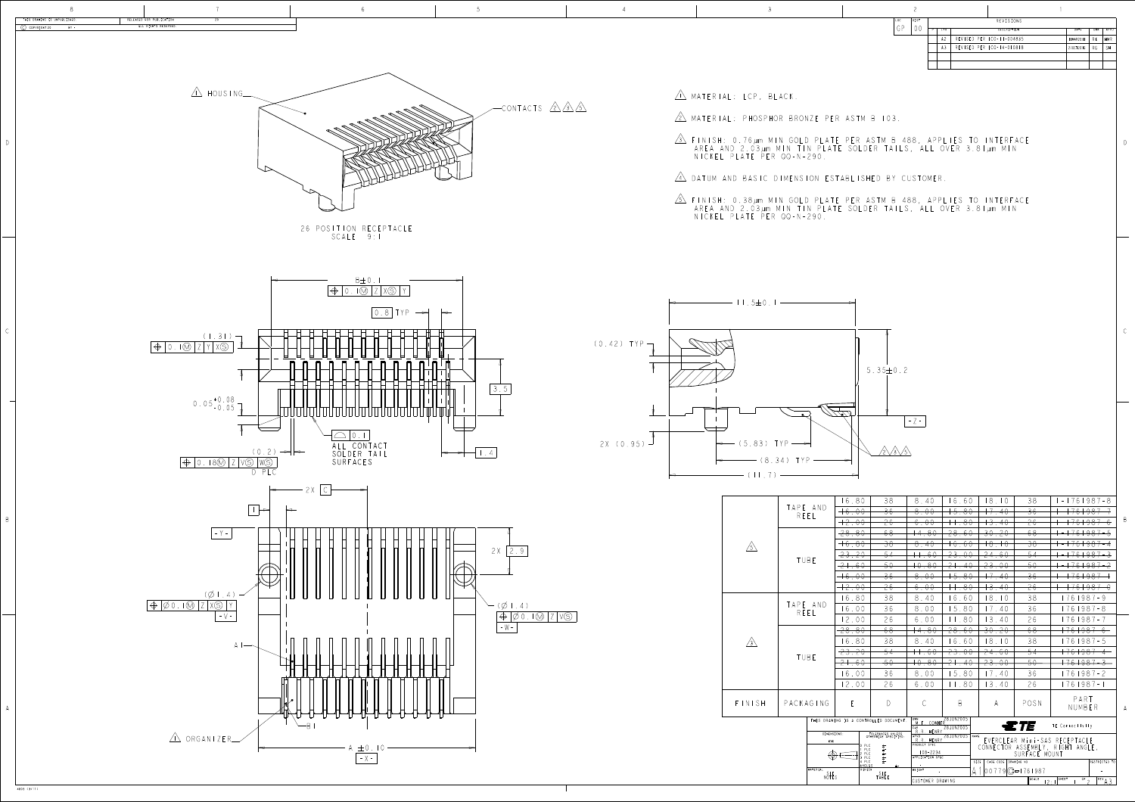D



- 
- 
- 
- 
- 

REVISIONS DESCRIPTION A2 REVISED PER ECO-11-004835 11MAR2011 RK HMR A3 REVISED PER ECO-14-010818 27OCT2016 RG SH

|            |                  |                                                                                       | 16.80       | 38                                                                                                                      | 8.40                                                                   | 16.60                  | 8.10                         | 38                                                          | $-1761987-8$                                                      |                |
|------------|------------------|---------------------------------------------------------------------------------------|-------------|-------------------------------------------------------------------------------------------------------------------------|------------------------------------------------------------------------|------------------------|------------------------------|-------------------------------------------------------------|-------------------------------------------------------------------|----------------|
| $\sqrt{5}$ |                  | TAPE AND<br>REEL                                                                      | $+6.00$     | $\frac{36}{5}$                                                                                                          | 8.00                                                                   | <del>15.80</del>       | $+7.40$                      | $\overline{\mathcal{F}}$                                    | <del>761987</del>                                                 |                |
|            |                  |                                                                                       | $+2.00$     | 26                                                                                                                      | 6.00                                                                   | $+ .80$                | $-3.40$                      | 26                                                          | 761987                                                            | $\overline{B}$ |
|            |                  |                                                                                       | $-28.80$    | $-68$                                                                                                                   | 4.80                                                                   | <del>28.60</del>       | <del>30.20</del>             | 68                                                          | <del>761987</del>                                                 |                |
|            |                  |                                                                                       | $+6.80$     | $\overline{\mathcal{S}}\mathcal{S}$                                                                                     | 8.40                                                                   | $+6.60$                | $+8,+0$                      | $\overline{38}$                                             | <del>  76   98 7</del><br>$\overline{\phantom{a}}$                |                |
|            |                  | TUBE                                                                                  | 23.20       | $-54$                                                                                                                   | $+, 60$                                                                | <del>23.00</del>       | <u>24.60</u>                 | 54                                                          | <del>761987-3</del>                                               |                |
|            |                  |                                                                                       | $-2 + 0.60$ | 50                                                                                                                      | $+0.80$                                                                | <del>21.40</del>       | <del>23.00</del>             | 50                                                          | <del>  76   987 -</del>                                           |                |
|            |                  |                                                                                       | $+6.00$     | $\overline{\mathcal{F}}$                                                                                                | 8.00                                                                   | $+5.80$                | $+7.40$                      | 36                                                          | +76+987-                                                          |                |
|            |                  |                                                                                       | $+2.00$     | 26                                                                                                                      | 6.00                                                                   | $+\pm.80$              | $+3.40$                      | 26                                                          | <del> 76 987-0</del>                                              |                |
|            |                  |                                                                                       | 16.80       | 38                                                                                                                      | 8.40                                                                   | 16.60                  | 8.10                         | 38                                                          | 1761987-9                                                         |                |
|            | TAPE AND<br>REEL |                                                                                       | 16.00       | 36                                                                                                                      | 8.00                                                                   | 15.80                  | 17.40                        | 36                                                          | 1761987-8                                                         |                |
| $\sqrt{3}$ |                  |                                                                                       | 12.00       | 26                                                                                                                      | 6.00                                                                   | 11.80                  | 3.40                         | 26                                                          | 1761987-7                                                         |                |
|            |                  |                                                                                       |             | 68<br><del>28.80</del>                                                                                                  | $\overline{14.80}$                                                     | <del>28.60</del>       | <del>30.20</del>             | 68                                                          | <del>  76   987 - 6 -</del>                                       |                |
|            | TUBE             |                                                                                       | 16.80       | 38                                                                                                                      | 8.40                                                                   | 6.60                   | 8.10                         | 38                                                          | 1761987-5                                                         |                |
|            |                  |                                                                                       | 23.20       | $-54$                                                                                                                   | $-60$                                                                  | 23.00                  | <del>24.60</del>             | $-54$                                                       | +76+987 4                                                         |                |
|            |                  |                                                                                       | $2 + .60$   | $50-$                                                                                                                   | $+0.80$<br>21.40<br><del>23.00</del><br>50                             |                        |                              |                                                             |                                                                   |                |
|            |                  |                                                                                       | 16.00       | 36                                                                                                                      | 8.00                                                                   | 15.80                  | 17.40                        | 36                                                          | 1761987-2                                                         |                |
|            |                  |                                                                                       | 12.00       | 26                                                                                                                      | 6.00                                                                   | 11.80                  | 3.40                         | 26                                                          | 1761987-1                                                         |                |
| INISH      |                  | PACKAGING                                                                             | E           | $\bigcap$                                                                                                               | $\mathcal{C}$                                                          | B                      | A                            | POSN                                                        | PART<br>NUMBER                                                    | - A            |
|            |                  | DIMENSIONS:                                                                           |             | THIS DRAWING IS A CONTROLLED DOCUMENT.                                                                                  | DWN<br>M.E. COWHER<br>CHK<br>R.R. HENRY                                | 28JUN2005<br>28JUN2005 |                              | $T = T E$                                                   | TE Connectivity                                                   |                |
|            |                  | mm                                                                                    |             | TOLERANCES UNLESS<br>OTHERWISE SPECIFIED:<br>0 PLC<br>士"<br>PLC<br>$\pm\cdot$<br>PLC<br>$\pm\text{-}$<br>PLC<br>$\pm$ - | APVD<br>R.R. HENRY<br>PRODUCT SPEC<br>$108 - 2234$<br>APPLICATION SPEC | 28 JUN2005 NAME        |                              | SURFACE MOUNT                                               | EVERCLEAR Mini-SAS RECEPTACLE<br>CONNECTOR ASSEMBLY, RIGHT ANGLE, |                |
|            |                  | 4 PLC<br>$+$ -<br><b>ANGLES</b><br>MATERIAL<br>FINISH<br>SEE<br>NOTES<br>SEE<br>TABLE |             |                                                                                                                         |                                                                        |                        | CAGE CODE DRAWING NO<br>SIZE |                                                             | RESTRICTED TO                                                     |                |
|            |                  |                                                                                       |             |                                                                                                                         | WEIGHT                                                                 |                        |                              | $ 00779 C = 1761987$<br>SCALE<br>SHEET<br>$\overline{OF}$ 2 |                                                                   |                |
|            |                  |                                                                                       |             |                                                                                                                         | CUSTOMER DRAWING<br>12:1                                               |                        |                              |                                                             | $R$ EV $A$ 3                                                      |                |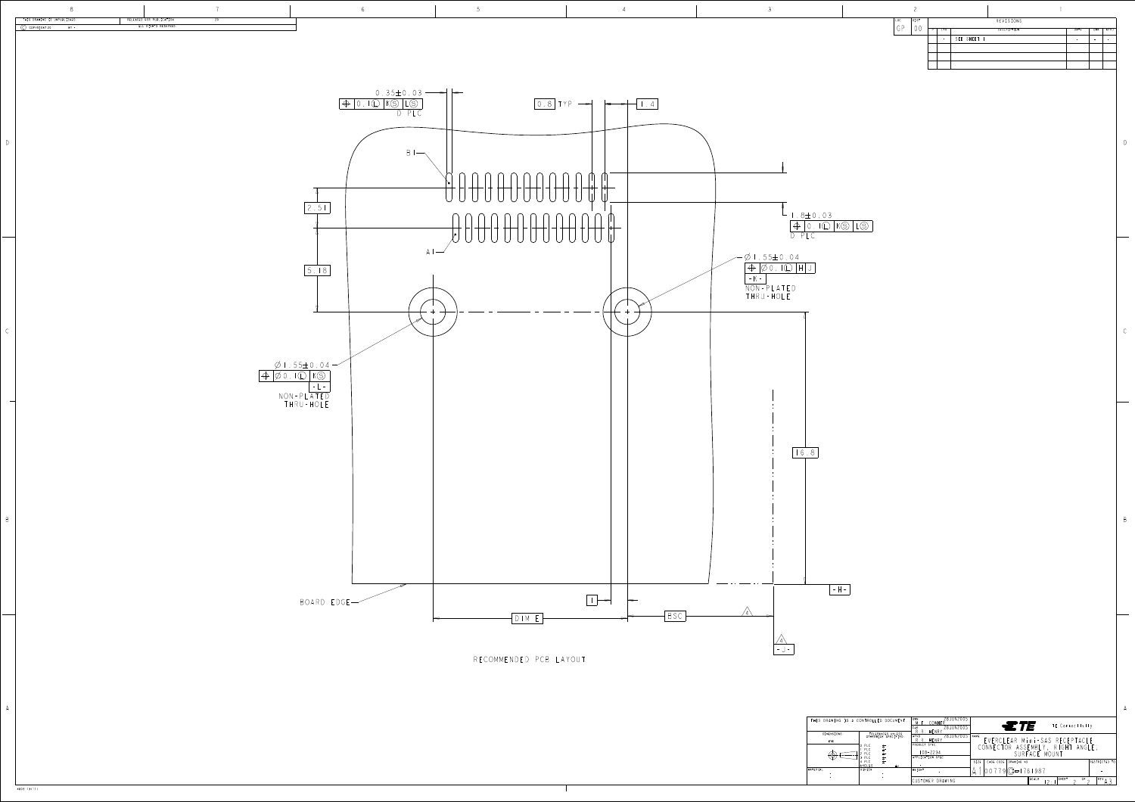D

B

A A

B

4805 (3/11)

|                   | S DRAWING IS A CONTROLLED DOCUMENT.                        | 28JUN2005<br>DWN<br>COWHER<br>28JUN2005<br>CHK<br>HENRY | $\equiv$ TE<br>TE Connectivity                               |                                                   |                  |  |  |
|-------------------|------------------------------------------------------------|---------------------------------------------------------|--------------------------------------------------------------|---------------------------------------------------|------------------|--|--|
| DIMENSIONS:<br>mm | TOLERANCES UNLESS<br>OTHERWISE SPECIFIED:                  | 28 JUN2005 NAME<br>APVD<br>HENRY                        |                                                              | EVERCLEAR Mini-SAS RECEPTACLE                     |                  |  |  |
|                   | PLC<br>士"<br>PLC<br>$\pm$ -<br>PLC<br>$\pm$ -<br>PLC<br>士士 | <b>PRODUCT SPEC</b><br>$108 - 2234$<br>APPLICATION SPEC |                                                              | CONNECTOR ASSEMBLY, RIGHT ANGLE,<br>SURFACE MOUNT |                  |  |  |
| AL                | PLC<br>$+$ -<br><b>ANGLES</b><br>FINISH                    | WEIGHT                                                  | SIZE<br>CAGE CODE<br>DRAWING NO<br>$9$ $\frac{9}{2}$ 1761987 |                                                   | RESTRICTED TO    |  |  |
|                   |                                                            | CUSTOMER DRAWING                                        |                                                              | SHEET<br>SCALE<br>OF<br>C .                       | REV <sub>A</sub> |  |  |

|      | ⌒    |   |            |                    |      |                          |      |
|------|------|---|------------|--------------------|------|--------------------------|------|
| LOC. | DIST |   |            | REVISIONS          |      |                          |      |
| GP   |      | P | <b>LTR</b> | <b>DESCRIPTION</b> | DATE | DWN                      | APVD |
|      |      |   | $\sim$     | SEE SHEET I        |      | $\overline{\phantom{a}}$ |      |
|      |      |   |            |                    |      |                          |      |
|      |      |   |            |                    |      |                          |      |
|      |      |   |            |                    |      |                          |      |
|      |      |   |            |                    |      |                          |      |

| THIS DRAWING IS A CONTROLLED |                                                                                                             |
|------------------------------|-------------------------------------------------------------------------------------------------------------|
| DIMENSIONS:                  | <b>TOLERAN</b><br><b>OTHERWISE</b>                                                                          |
| mm                           |                                                                                                             |
|                              | PLC<br>0<br>$\overline{1}$<br>PLC<br>$\overline{1}$<br>2<br>PLC<br>3<br>PLC<br>E<br>PLC<br>E<br>4<br>ANGLES |
| MATERIAL                     | FINISH                                                                                                      |
|                              |                                                                                                             |
|                              |                                                                                                             |
|                              |                                                                                                             |